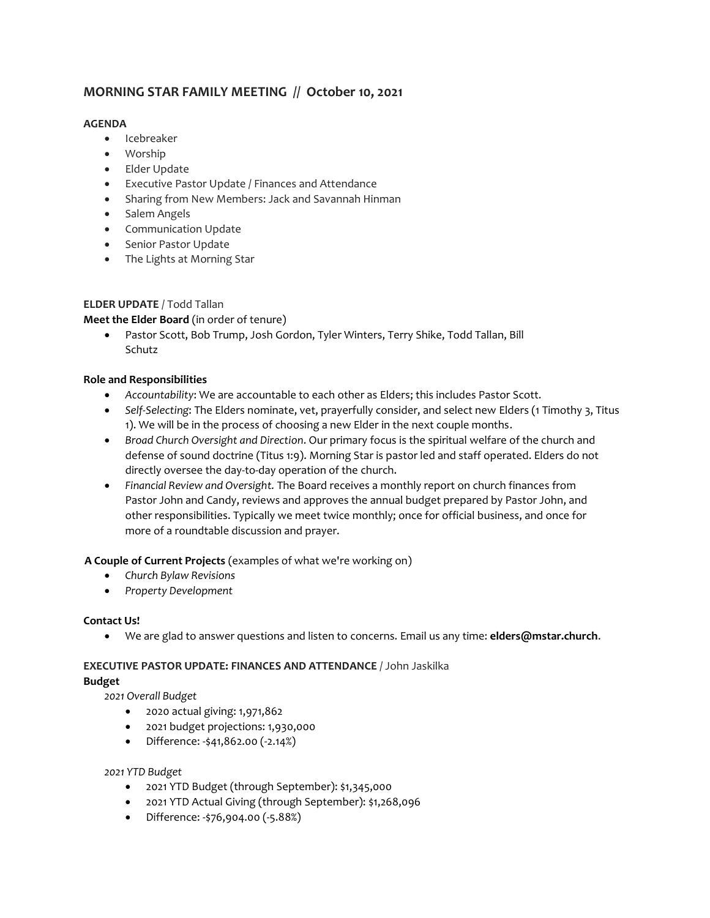# **MORNING STAR FAMILY MEETING // October 10, 2021**

## **AGENDA**

- Icebreaker
- Worship
- Elder Update
- Executive Pastor Update / Finances and Attendance
- Sharing from New Members: Jack and Savannah Hinman
- Salem Angels
- Communication Update
- **•** Senior Pastor Update
- The Lights at Morning Star

## **ELDER UPDATE** / Todd Tallan

**Meet the Elder Board** (in order of tenure)

 Pastor Scott, Bob Trump, Josh Gordon, Tyler Winters, Terry Shike, Todd Tallan, Bill Schutz

## **Role and Responsibilities**

- *Accountability*: We are accountable to each other as Elders; this includes Pastor Scott.
- *Self-Selecting*: The Elders nominate, vet, prayerfully consider, and select new Elders (1 Timothy 3, Titus 1). We will be in the process of choosing a new Elder in the next couple months.
- *Broad Church Oversight and Direction*. Our primary focus is the spiritual welfare of the church and defense of sound doctrine (Titus 1:9). Morning Star is pastor led and staff operated. Elders do not directly oversee the day-to-day operation of the church.
- *Financial Review and Oversight.* The Board receives a monthly report on church finances from Pastor John and Candy, reviews and approves the annual budget prepared by Pastor John, and other responsibilities. Typically we meet twice monthly; once for official business, and once for more of a roundtable discussion and prayer.

## **A Couple of Current Projects** (examples of what we're working on)

- *Church Bylaw Revisions*
- *Property Development*

## **Contact Us!**

We are glad to answer questions and listen to concerns. Email us any time: **elders@mstar.church**.

#### **EXECUTIVE PASTOR UPDATE: FINANCES AND ATTENDANCE** / John Jaskilka **Budget**

*2021 Overall Budget*

- 2020 actual giving: 1,971,862
- 2021 budget projections: 1,930,000
- Difference: -\$41,862.00 (-2.14%)

## *2021 YTD Budget*

- 2021 YTD Budget (through September): \$1,345,000
- 2021 YTD Actual Giving (through September): \$1,268,096
- Difference: -\$76,904.00 (-5.88%)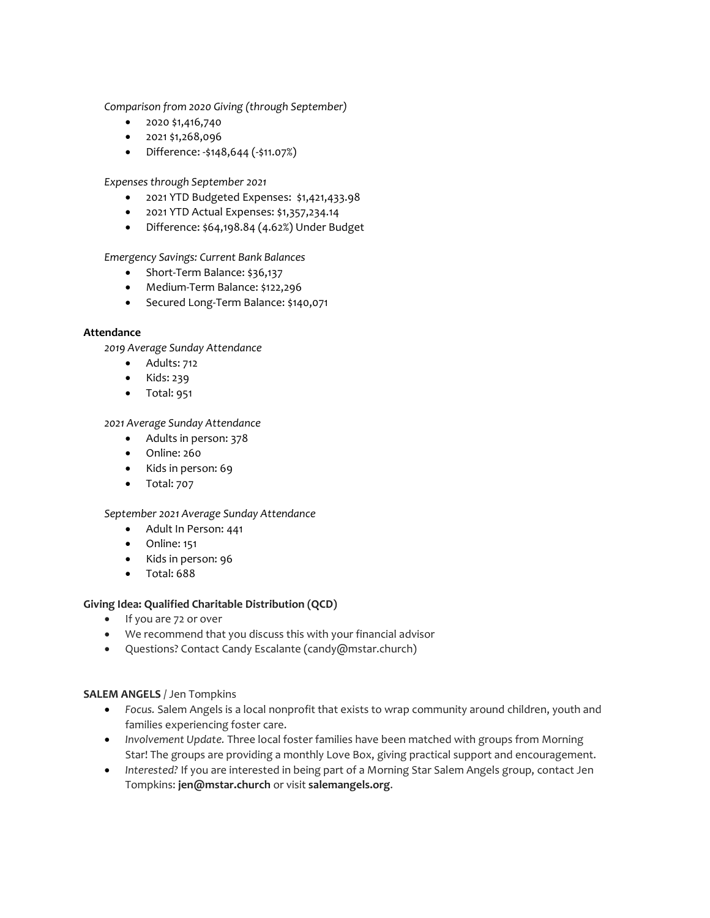*Comparison from 2020 Giving (through September)*

- $\bullet$  2020 \$1,416,740
- $\bullet$  2021 \$1,268,096
- Difference: -\$148,644 (-\$11.07%)

*Expenses through September 2021*

- 2021 YTD Budgeted Expenses: \$1,421,433.98
- 2021 YTD Actual Expenses: \$1,357,234.14
- Difference: \$64,198.84 (4.62%) Under Budget

*Emergency Savings: Current Bank Balances*

- Short-Term Balance: \$36,137
- Medium-Term Balance: \$122,296
- Secured Long-Term Balance: \$140,071

#### **Attendance**

*2019 Average Sunday Attendance*

- Adults: 712
- Kids: 239
- Total: 951

*2021 Average Sunday Attendance*

- Adults in person: 378
- Online: 260
- Kids in person: 69
- Total: 707

#### *September 2021 Average Sunday Attendance*

- Adult In Person: 441
- Online: 151
- Kids in person: 96
- Total: 688

#### **Giving Idea: Qualified Charitable Distribution (QCD)**

- If you are 72 or over
- We recommend that you discuss this with your financial advisor
- Questions? Contact Candy Escalante (candy@mstar.church)

#### **SALEM ANGELS** / Jen Tompkins

- *Focus.* Salem Angels is a local nonprofit that exists to wrap community around children, youth and families experiencing foster care.
- *Involvement Update.* Three local foster families have been matched with groups from Morning Star! The groups are providing a monthly Love Box, giving practical support and encouragement.
- *Interested?* If you are interested in being part of a Morning Star Salem Angels group, contact Jen Tompkins: **jen@mstar.church** or visit **salemangels.org**.